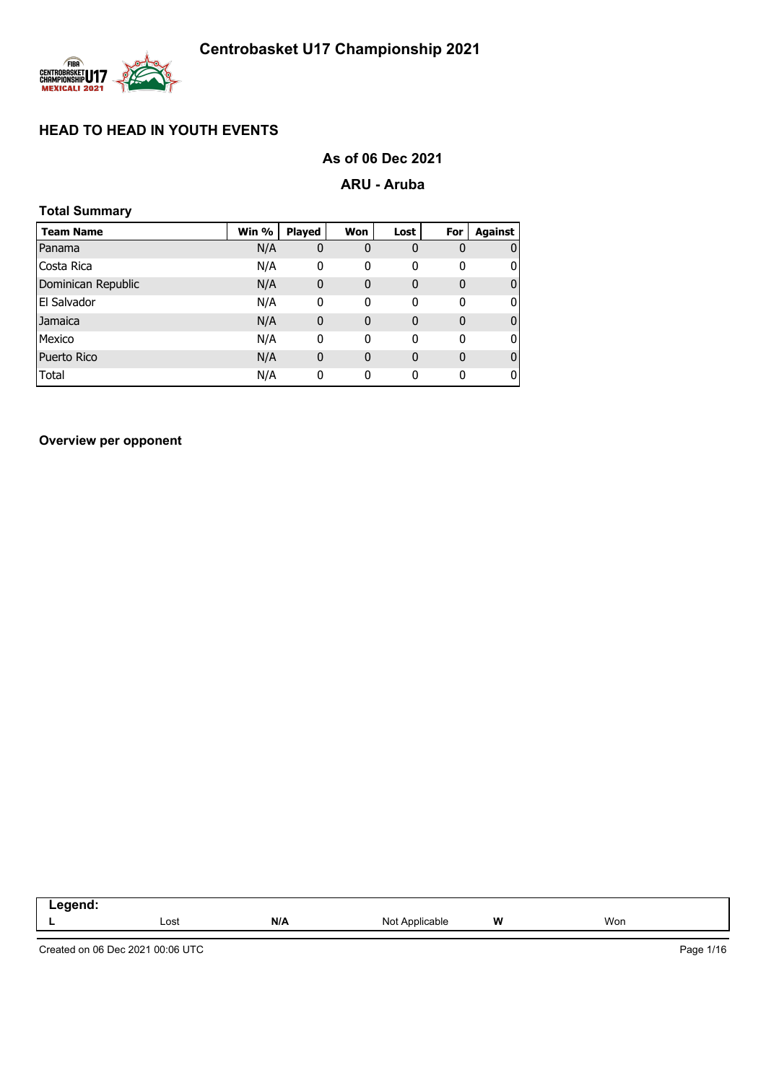

# **As of 06 Dec 2021**

## **ARU - Aruba**

| <b>Total Summary</b> |       |               |             |             |              |         |
|----------------------|-------|---------------|-------------|-------------|--------------|---------|
| <b>Team Name</b>     | Win % | <b>Played</b> | Won         | Lost        | For          | Against |
| Panama               | N/A   | 0             | 0           | $\bf{0}$    | 0            | 0       |
| Costa Rica           | N/A   | 0             | 0           | 0           | 0            | 0       |
| Dominican Republic   | N/A   | 0             | 0           | $\mathbf 0$ | $\mathbf{0}$ | 0       |
| El Salvador          | N/A   | 0             | 0           | 0           | 0            | 0       |
| Jamaica              | N/A   | 0             | 0           | 0           | $\mathbf{0}$ | 0       |
| Mexico               | N/A   | 0             | 0           | 0           | 0            | 0       |
| <b>Puerto Rico</b>   | N/A   | 0             | $\mathbf 0$ | $\mathbf 0$ | $\mathbf 0$  | 0       |
| Total                | N/A   | 0             | 0           | 0           | $\mathbf 0$  | 0       |

**Overview per opponent**

| است سن سن سند<br>$\overline{\phantom{a}}$<br>-- 3<br>$\sim$ $\sim$ $\sim$ $\sim$ $\sim$ $\sim$ |      |     |                     |   |     |
|------------------------------------------------------------------------------------------------|------|-----|---------------------|---|-----|
|                                                                                                | Lost | N/A | Not A<br>Applicable | W | Won |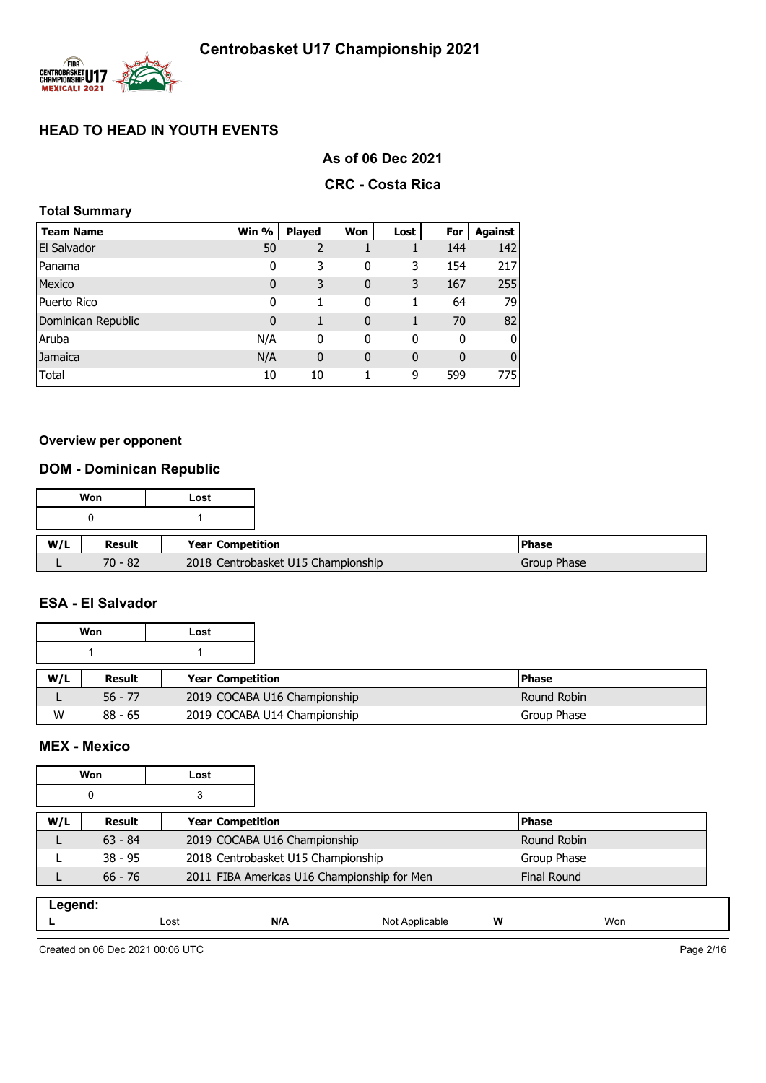

## **As of 06 Dec 2021**

## **CRC - Costa Rica**

## **Total Summary**

| <b>Team Name</b>   | Win %       | <b>Played</b>  | Won         | Lost | For         | Against        |
|--------------------|-------------|----------------|-------------|------|-------------|----------------|
| <b>El Salvador</b> | 50          | $\overline{2}$ |             |      | 144         | 142            |
| Panama             | 0           | 3              | 0           | 3    | 154         | 217            |
| Mexico             | $\mathbf 0$ | 3              | 0           | 3    | 167         | 255            |
| <b>Puerto Rico</b> | 0           | 1              | 0           | 1    | 64          | 79             |
| Dominican Republic | $\mathbf 0$ | 1              | $\mathbf 0$ | 1    | 70          | 82             |
| Aruba              | N/A         | 0              | 0           | 0    | 0           | 0              |
| Jamaica            | N/A         | $\mathbf 0$    | $\mathbf 0$ | 0    | $\mathbf 0$ | $\overline{0}$ |
| Total              | 10          | 10             | 1           | 9    | 599         | 775            |

### **Overview per opponent**

# **DOM - Dominican Republic**

|     | Won       | Lost                    |                                    |              |
|-----|-----------|-------------------------|------------------------------------|--------------|
|     |           |                         |                                    |              |
|     |           |                         |                                    |              |
| W/L | Result    | <b>Year Competition</b> |                                    | <b>Phase</b> |
|     | $70 - 82$ |                         | 2018 Centrobasket U15 Championship | Group Phase  |

### **ESA - El Salvador**

|     | Won       | Lost |                              |              |
|-----|-----------|------|------------------------------|--------------|
|     |           |      |                              |              |
| W/L | Result    |      | <b>Year Competition</b>      | <b>Phase</b> |
|     | $56 - 77$ |      | 2019 COCABA U16 Championship | Round Robin  |
| W   | $88 - 65$ |      | 2019 COCABA U14 Championship | Group Phase  |

## **MEX - Mexico**

|         | <b>Won</b> | Lost             |                                    |                                             |   |                    |
|---------|------------|------------------|------------------------------------|---------------------------------------------|---|--------------------|
|         | $\Omega$   | 3                |                                    |                                             |   |                    |
| W/L     | Result     | Year Competition |                                    |                                             |   | <b>Phase</b>       |
|         | $63 - 84$  |                  | 2019 COCABA U16 Championship       |                                             |   | Round Robin        |
|         | $38 - 95$  |                  | 2018 Centrobasket U15 Championship |                                             |   | Group Phase        |
|         | $66 - 76$  |                  |                                    | 2011 FIBA Americas U16 Championship for Men |   | <b>Final Round</b> |
| Legend: |            | Lost             | N/A                                | Not Applicable                              | w | Won                |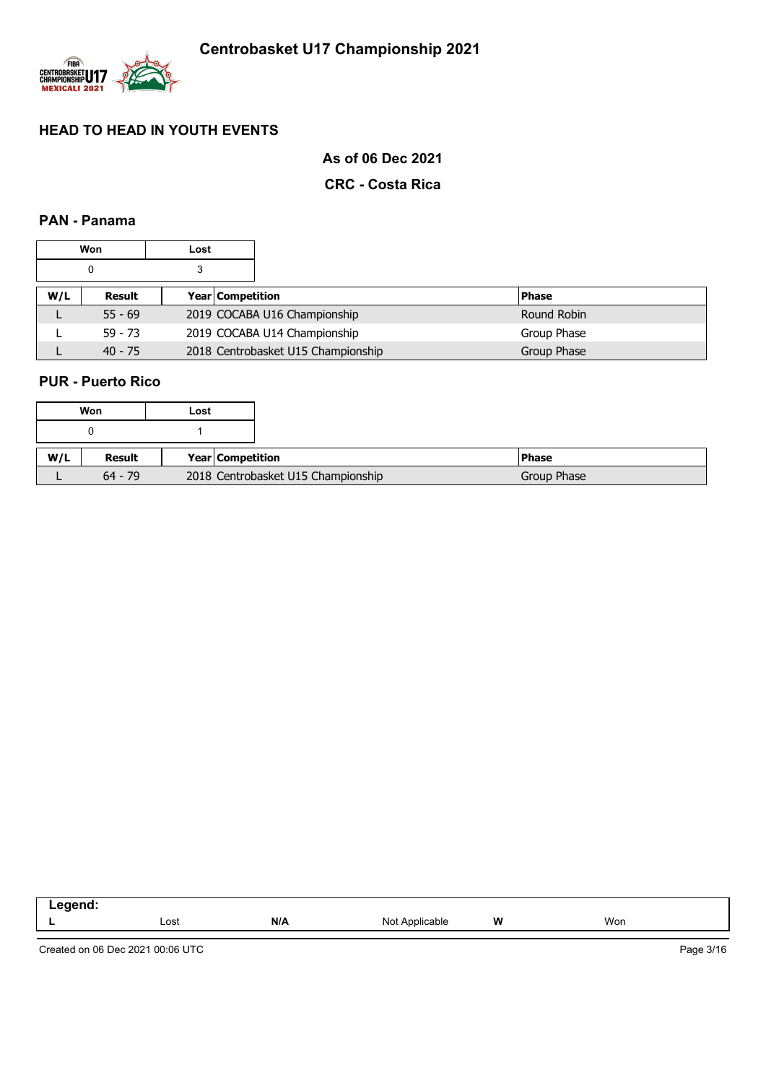

**As of 06 Dec 2021**

## **CRC - Costa Rica**

## **PAN - Panama**

|     | Won       | Lost |                  |                                    |              |
|-----|-----------|------|------------------|------------------------------------|--------------|
|     | 0         | 3    |                  |                                    |              |
| W/L | Result    |      | Year Competition |                                    | <b>Phase</b> |
| ட   | $55 - 69$ |      |                  | 2019 COCABA U16 Championship       | Round Robin  |
|     | $59 - 73$ |      |                  | 2019 COCABA U14 Championship       | Group Phase  |
|     | $40 - 75$ |      |                  | 2018 Centrobasket U15 Championship | Group Phase  |

## **PUR - Puerto Rico**

|     |           | Won<br>Lost                        |
|-----|-----------|------------------------------------|
|     |           |                                    |
| W/L | Result    | Year Competition                   |
|     | $64 - 79$ | 2018 Centrobasket U15 Championship |

| ------<br>--<br>.<br>____<br>__ |      |     |            |   |     |
|---------------------------------|------|-----|------------|---|-----|
| . .                             | Lost | N/A | Not<br>auu | W | Won |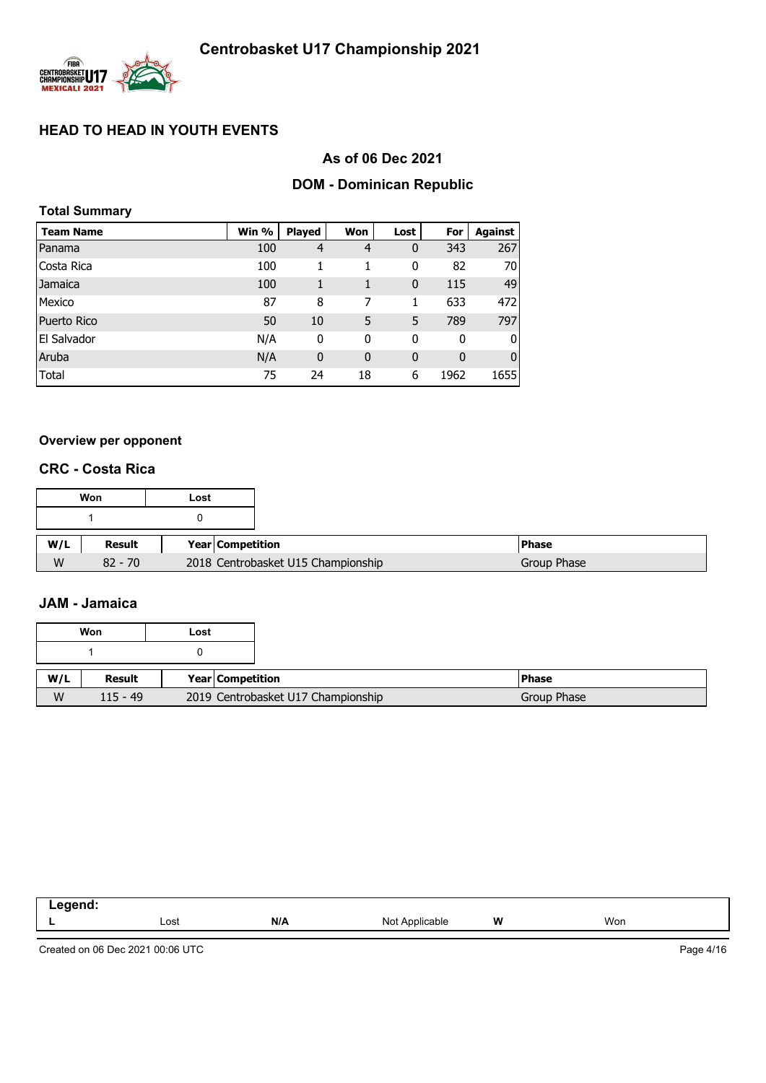

## **As of 06 Dec 2021**

# **DOM - Dominican Republic**

| <b>Total Summary</b> |       |                |              |              |             |                |
|----------------------|-------|----------------|--------------|--------------|-------------|----------------|
| <b>Team Name</b>     | Win % | <b>Played</b>  | Won          | Lost         | For         | Against        |
| Panama               | 100   | $\overline{4}$ | 4            | 0            | 343         | 267            |
| Costa Rica           | 100   | 1              | 1            | 0            | 82          | 70             |
| Jamaica              | 100   | 1              | 1            | $\mathbf{0}$ | 115         | 49             |
| Mexico               | 87    | 8              | 7            | 1            | 633         | 472            |
| <b>Puerto Rico</b>   | 50    | 10             | 5            | 5            | 789         | 797            |
| El Salvador          | N/A   | 0              | 0            | 0            | 0           | $\overline{0}$ |
| Aruba                | N/A   | $\mathbf 0$    | $\mathbf{0}$ | $\mathbf{0}$ | $\mathbf 0$ | $\overline{0}$ |
| Total                | 75    | 24             | 18           | 6            | 1962        | 1655           |

### **Overview per opponent**

### **CRC - Costa Rica**

|     | Won           | Lost                    |                                                   |  |
|-----|---------------|-------------------------|---------------------------------------------------|--|
|     |               |                         |                                                   |  |
| W/L | <b>Result</b> | <b>Year Competition</b> | <b>Phase</b>                                      |  |
| W   | $82 - 70$     |                         | 2018 Centrobasket U15 Championship<br>Group Phase |  |

### **JAM - Jamaica**

|     | Won           | Lost                               |
|-----|---------------|------------------------------------|
|     |               |                                    |
| W/L | <b>Result</b> | Year Competition                   |
| W   | $115 - 49$    | 2019 Centrobasket U17 Championship |

| $\sim$ |      |     |                              |   |     |
|--------|------|-----|------------------------------|---|-----|
|        | Lost | N/A | Not A<br>: Annlicable<br>. . | W | Won |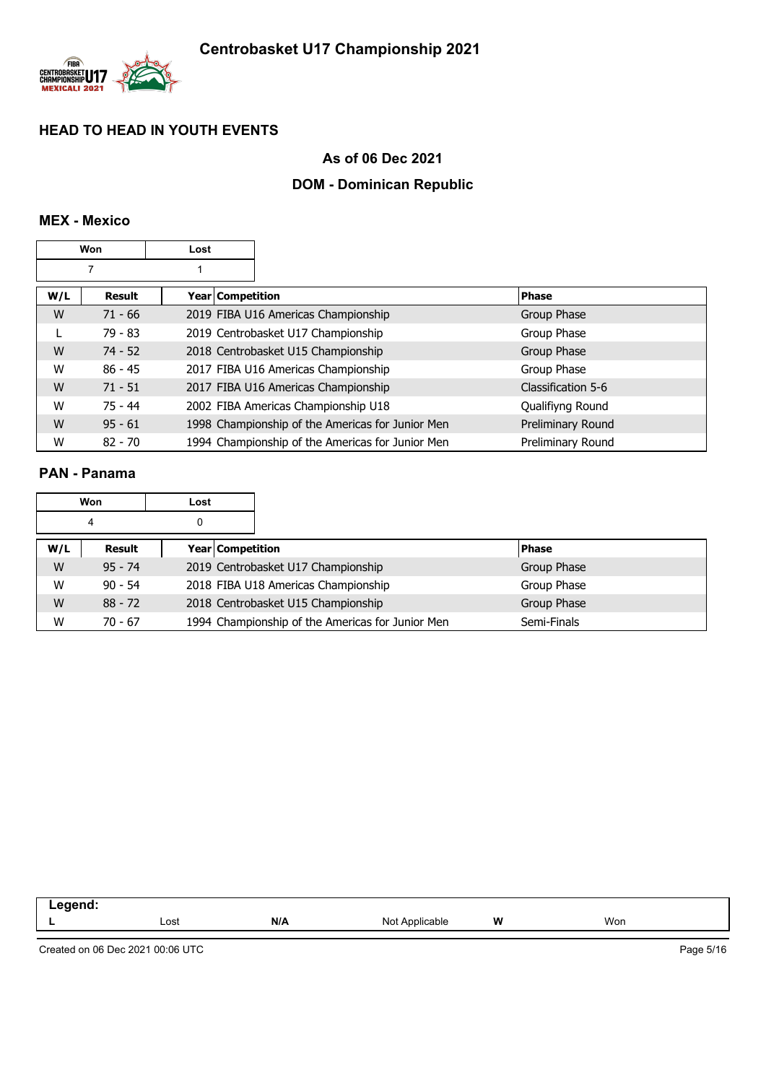

## **As of 06 Dec 2021**

# **DOM - Dominican Republic**

## **MEX - Mexico**

|     | Won<br>Lost   |                         |                                                  |                    |
|-----|---------------|-------------------------|--------------------------------------------------|--------------------|
|     |               |                         |                                                  |                    |
| W/L | <b>Result</b> | <b>Year Competition</b> |                                                  | <b>Phase</b>       |
| W   | $71 - 66$     |                         | 2019 FIBA U16 Americas Championship              | Group Phase        |
|     | 79 - 83       |                         | 2019 Centrobasket U17 Championship               | Group Phase        |
| W   | $74 - 52$     |                         | 2018 Centrobasket U15 Championship               | Group Phase        |
| W   | $86 - 45$     |                         | 2017 FIBA U16 Americas Championship              | Group Phase        |
| W   | $71 - 51$     |                         | 2017 FIBA U16 Americas Championship              | Classification 5-6 |
| W   | $75 - 44$     |                         | 2002 FIBA Americas Championship U18              | Qualifiyng Round   |
| W   | $95 - 61$     |                         | 1998 Championship of the Americas for Junior Men | Preliminary Round  |
| W   | $82 - 70$     |                         | 1994 Championship of the Americas for Junior Men | Preliminary Round  |

## **PAN - Panama**

|     | Won       | Lost             |                                                  |              |
|-----|-----------|------------------|--------------------------------------------------|--------------|
|     | 4         | 0                |                                                  |              |
| W/L | Result    | Year Competition |                                                  | <b>Phase</b> |
| W   | $95 - 74$ |                  | 2019 Centrobasket U17 Championship               | Group Phase  |
| W   | $90 - 54$ |                  | 2018 FIBA U18 Americas Championship              | Group Phase  |
| W   | $88 - 72$ |                  | 2018 Centrobasket U15 Championship               | Group Phase  |
| W   | $70 - 67$ |                  | 1994 Championship of the Americas for Junior Men | Semi-Finals  |

| W<br>N/A<br>Won<br>Lost<br>Annlicophia<br>הוח<br>uure.<br><br>-<br>$\cdot\cdot\cdot$ |  |  |  |
|--------------------------------------------------------------------------------------|--|--|--|
|                                                                                      |  |  |  |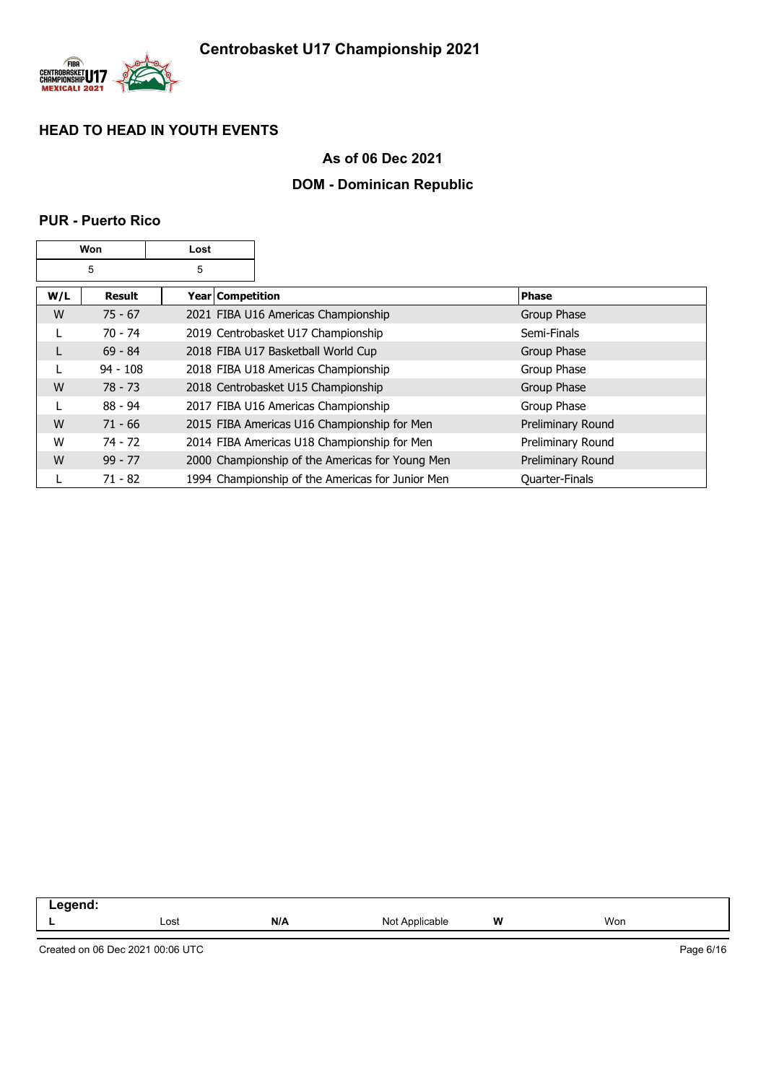

## **As of 06 Dec 2021**

## **DOM - Dominican Republic**

### **PUR - Puerto Rico**

|     | Won<br>Lost   |                    |                                                  |                   |
|-----|---------------|--------------------|--------------------------------------------------|-------------------|
|     | 5             | 5                  |                                                  |                   |
| W/L | <b>Result</b> | Year   Competition |                                                  | <b>Phase</b>      |
| W   | $75 - 67$     |                    | 2021 FIBA U16 Americas Championship              | Group Phase       |
|     | $70 - 74$     |                    | 2019 Centrobasket U17 Championship               | Semi-Finals       |
| L   | $69 - 84$     |                    | 2018 FIBA U17 Basketball World Cup               | Group Phase       |
|     | $94 - 108$    |                    | 2018 FIBA U18 Americas Championship              | Group Phase       |
| W   | 78 - 73       |                    | 2018 Centrobasket U15 Championship               | Group Phase       |
| L   | $88 - 94$     |                    | 2017 FIBA U16 Americas Championship              | Group Phase       |
| W   | $71 - 66$     |                    | 2015 FIBA Americas U16 Championship for Men      | Preliminary Round |
| W   | $74 - 72$     |                    | 2014 FIBA Americas U18 Championship for Men      | Preliminary Round |
| W   | $99 - 77$     |                    | 2000 Championship of the Americas for Young Men  | Preliminary Round |
|     | $71 - 82$     |                    | 1994 Championship of the Americas for Junior Men | Quarter-Finals    |

| .<br>--<br>$\sim$ $\sim$ |      |     |                   |   |     |
|--------------------------|------|-----|-------------------|---|-----|
|                          | Lost | N/A | Not<br>Applicable | W | Won |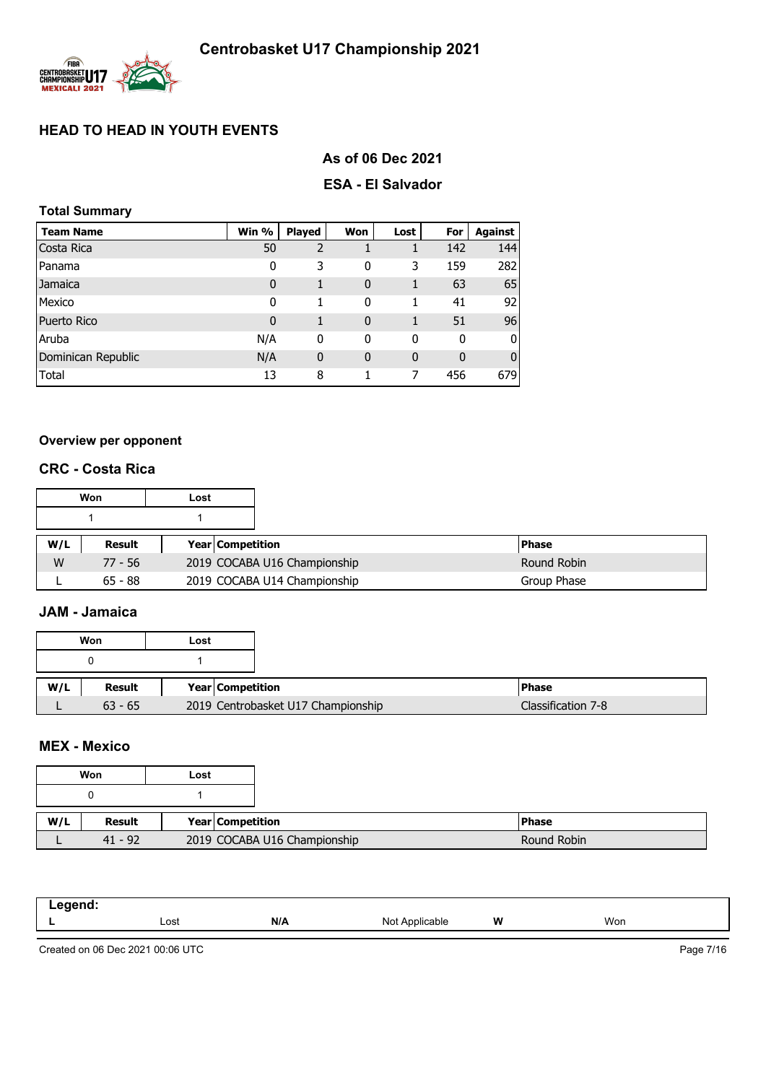

# **As of 06 Dec 2021**

### **ESA - El Salvador**

## **Total Summary**

| <b>Team Name</b>   | Win %       | <b>Played</b>  | Won          | Lost        | For | Against      |
|--------------------|-------------|----------------|--------------|-------------|-----|--------------|
| Costa Rica         | 50          | $\overline{2}$ |              |             | 142 | 144          |
| Panama             | 0           | 3              | 0            | 3           | 159 | 282          |
| Jamaica            | $\mathbf 0$ | 1              | 0            |             | 63  | 65           |
| Mexico             | 0           | 1              | 0            |             | 41  | 92           |
| Puerto Rico        | $\mathbf 0$ | 1              | $\mathbf{0}$ |             | 51  | 96           |
| Aruba              | N/A         | 0              | 0            | 0           | 0   | 0            |
| Dominican Republic | N/A         | $\mathbf 0$    | $\mathbf{0}$ | $\mathbf 0$ | 0   | $\mathbf{0}$ |
| Total              | 13          | 8              |              | 7           | 456 | 679          |

# **Overview per opponent**

## **CRC - Costa Rica**

|     | Won       | Lost |                         |                              |              |
|-----|-----------|------|-------------------------|------------------------------|--------------|
|     |           |      |                         |                              |              |
| W/L | Result    |      | <b>Year Competition</b> |                              | <b>Phase</b> |
| W   | $77 - 56$ |      |                         | 2019 COCABA U16 Championship | Round Robin  |
|     | $65 - 88$ |      |                         | 2019 COCABA U14 Championship | Group Phase  |

## **JAM - Jamaica**

|     | Won       | Lost |                                    |  |
|-----|-----------|------|------------------------------------|--|
|     |           |      |                                    |  |
| W/L | Result    |      | Year Competition                   |  |
|     | $63 - 65$ |      | 2019 Centrobasket U17 Championship |  |

## **MEX - Mexico**

| .<br>- - - - - |      |     |                                                                                                                  |   |     |  |
|----------------|------|-----|------------------------------------------------------------------------------------------------------------------|---|-----|--|
| _              | Lost | N/A | ۱۸۰<br><b>Icable</b><br>11017<br>the contract of the contract of the contract of the contract of the contract of | W | Won |  |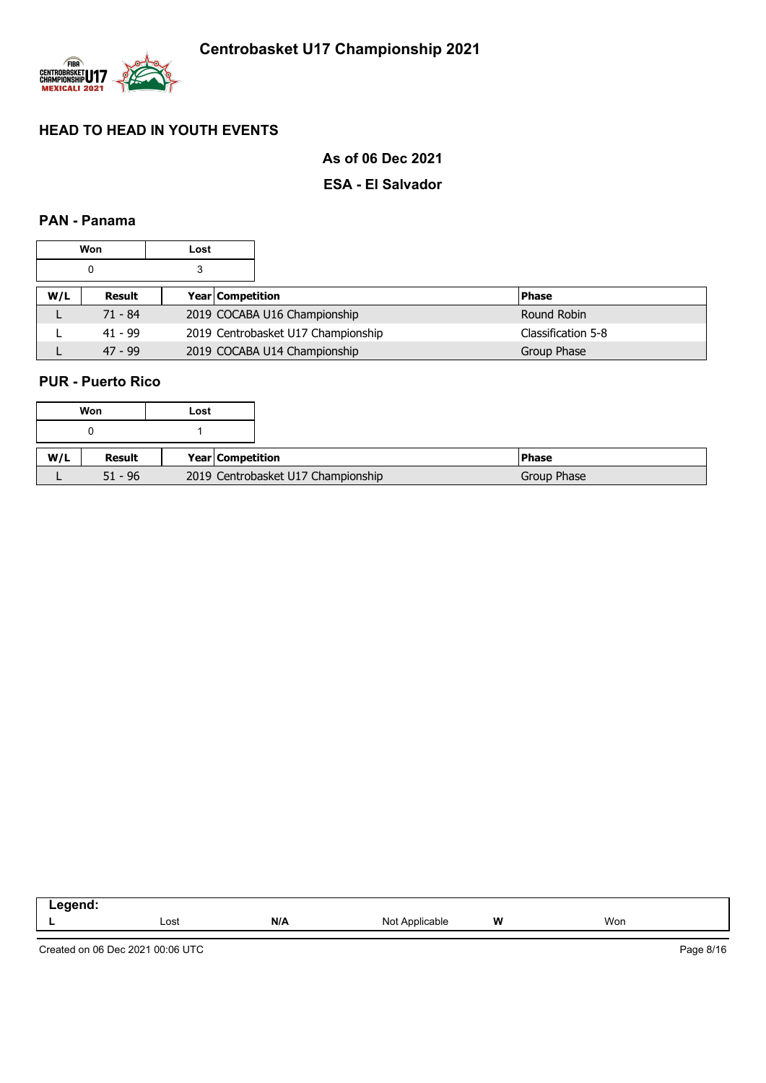

**As of 06 Dec 2021**

## **ESA - El Salvador**

## **PAN - Panama**

|     | Won       | Lost |                  |                                    |  |                    |
|-----|-----------|------|------------------|------------------------------------|--|--------------------|
|     |           | 3    |                  |                                    |  |                    |
| W/L | Result    |      | Year Competition |                                    |  | <b>Phase</b>       |
|     | $71 - 84$ |      |                  | 2019 COCABA U16 Championship       |  | Round Robin        |
|     | $41 - 99$ |      |                  | 2019 Centrobasket U17 Championship |  | Classification 5-8 |
|     | $47 - 99$ |      |                  | 2019 COCABA U14 Championship       |  | Group Phase        |

## **PUR - Puerto Rico**

| Won |           | Lost |                  |                                    |  |               |
|-----|-----------|------|------------------|------------------------------------|--|---------------|
|     |           |      |                  |                                    |  |               |
| W/L | Result    |      | Year Competition |                                    |  | <b>IPhase</b> |
|     | $51 - 96$ |      |                  | 2019 Centrobasket U17 Championship |  | Group Phase   |

| ----- |      |     |                  |   |     |  |
|-------|------|-----|------------------|---|-----|--|
| --    | Lost | N/A | Not A<br>Nicable | W | Won |  |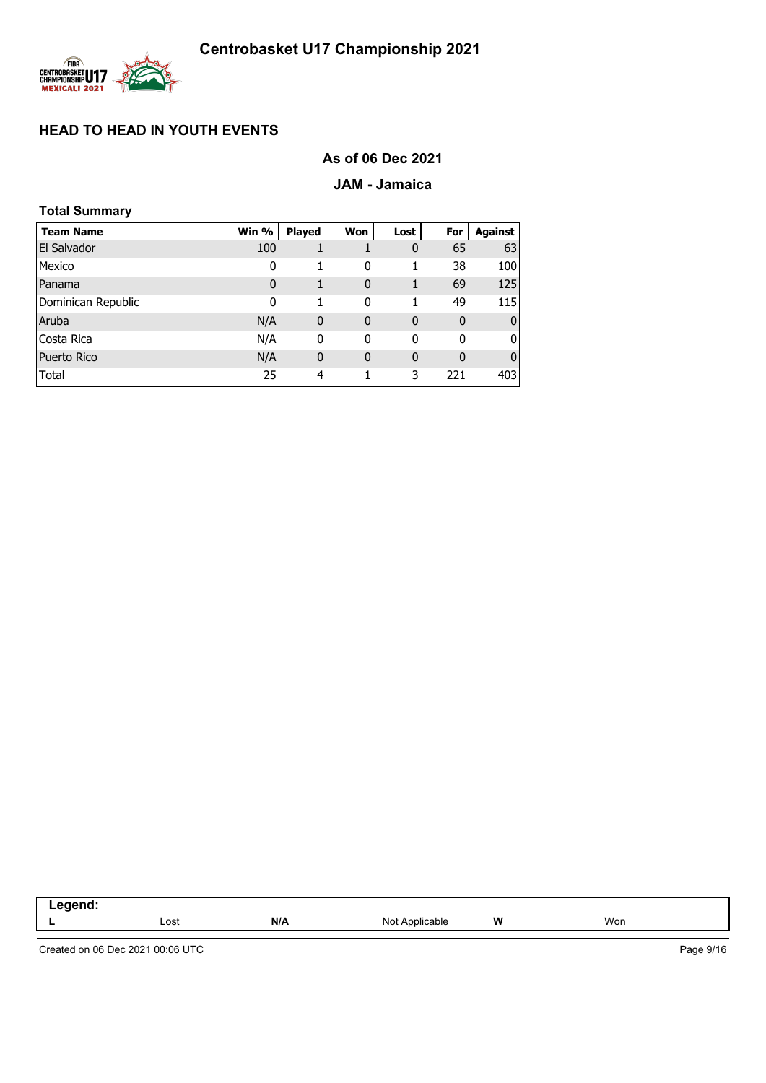

## **As of 06 Dec 2021**

### **JAM - Jamaica**

| <b>Total Summary</b> |             |               |              |      |             |                |
|----------------------|-------------|---------------|--------------|------|-------------|----------------|
| <b>Team Name</b>     | Win %       | <b>Played</b> | Won          | Lost | For         | <b>Against</b> |
| El Salvador          | 100         |               |              | 0    | 65          | 63             |
| Mexico               | 0           |               | 0            | 1    | 38          | 100            |
| Panama               | $\mathbf 0$ | 1             | $\mathbf 0$  | 1    | 69          | 125            |
| Dominican Republic   | 0           | 1             | 0            | 1    | 49          | <b>115</b>     |
| Aruba                | N/A         | $\mathbf 0$   | $\mathbf 0$  | 0    | $\mathbf 0$ | $\mathbf{0}$   |
| Costa Rica           | N/A         | 0             | 0            | 0    | 0           | 0              |
| <b>Puerto Rico</b>   | N/A         | $\mathbf 0$   | $\mathbf{0}$ | 0    | $\mathbf 0$ | $\mathbf{0}$   |
| Total                | 25          | 4             |              | 3    | 221         | 403            |

| . |      |     |                                                       |   |     |
|---|------|-----|-------------------------------------------------------|---|-----|
| - | Lost | N/A | NM<br>$n \mathbf{b}$<br>`able<br>$\sim$ $\sim$ $\sim$ | W | Won |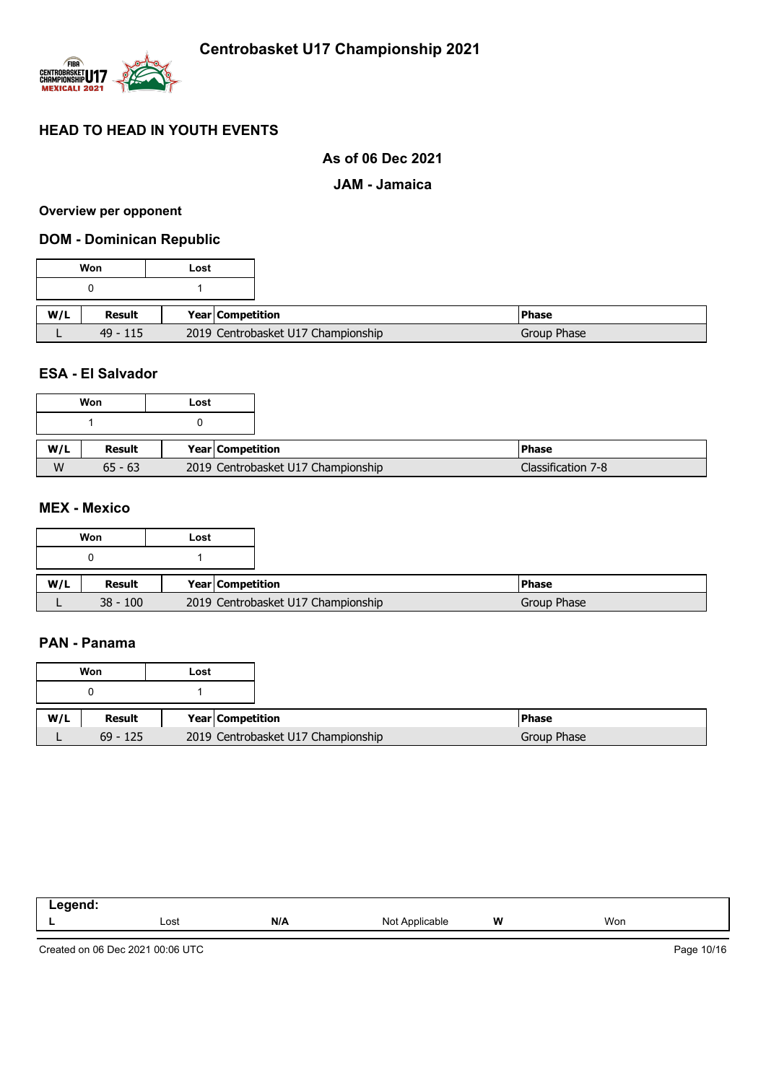

## **As of 06 Dec 2021**

### **JAM - Jamaica**

#### **Overview per opponent**

### **DOM - Dominican Republic**

|     | Won        | Lost                               |
|-----|------------|------------------------------------|
|     |            |                                    |
| W/L | Result     | Year Competition                   |
|     | $49 - 115$ | 2019 Centrobasket U17 Championship |

## **ESA - El Salvador**

|     | Won       | Lost |                                    |                    |
|-----|-----------|------|------------------------------------|--------------------|
|     |           |      |                                    |                    |
| W/L | Result    |      | <b>Year Competition</b>            | <b>IPhase</b>      |
| W   | $65 - 63$ |      | 2019 Centrobasket U17 Championship | Classification 7-8 |

## **MEX - Mexico**

|     | Won        | Lost                               |
|-----|------------|------------------------------------|
|     |            |                                    |
|     |            |                                    |
| W/L | Result     | Year Competition                   |
|     | $38 - 100$ | 2019 Centrobasket U17 Championship |

### **PAN - Panama**

|     | Won        | Lost             |                                    |
|-----|------------|------------------|------------------------------------|
|     |            |                  |                                    |
| W/L | Result     | Year Competition |                                    |
|     | $69 - 125$ |                  | 2019 Centrobasket U17 Championship |

| Legend: |      |     |                                |   |     |
|---------|------|-----|--------------------------------|---|-----|
| --      | Lost | N/A | Nl∩t<br>`Applicable_<br>. VU L | W | Won |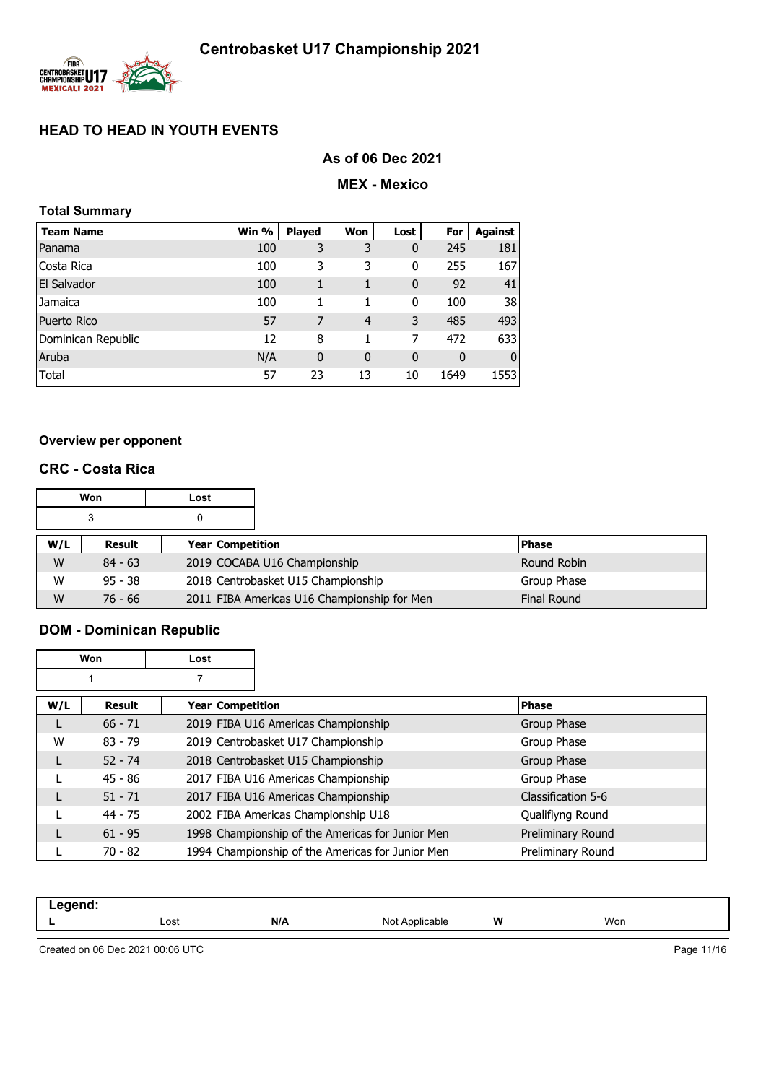

## **As of 06 Dec 2021**

### **MEX - Mexico**

| <b>Total Summary</b> |       |               |              |              |             |              |
|----------------------|-------|---------------|--------------|--------------|-------------|--------------|
| <b>Team Name</b>     | Win % | <b>Played</b> | Won          | Lost         | For         | Against      |
| Panama               | 100   | 3             | 3            | 0            | 245         | 181          |
| Costa Rica           | 100   | 3             | 3            | 0            | 255         | 167          |
| <b>El Salvador</b>   | 100   | 1             | 1            | $\mathbf{0}$ | 92          | 41           |
| Jamaica              | 100   | 1             | 1            | 0            | 100         | 38           |
| <b>Puerto Rico</b>   | 57    | 7             | 4            | 3            | 485         | 493          |
| Dominican Republic   | 12    | 8             | 1            | 7            | 472         | 633          |
| Aruba                | N/A   | $\mathbf 0$   | $\mathbf{0}$ | $\mathbf{0}$ | $\mathbf 0$ | $\mathbf{0}$ |
| Total                | 57    | 23            | 13           | 10           | 1649        | 1553         |

### **Overview per opponent**

### **CRC - Costa Rica**

|     | Won<br>Lost |  |                                             |                    |
|-----|-------------|--|---------------------------------------------|--------------------|
|     | 3           |  |                                             |                    |
| W/L | Result      |  | <b>Year Competition</b>                     | <b>Phase</b>       |
| W   | $84 - 63$   |  | 2019 COCABA U16 Championship                | Round Robin        |
| W   | $95 - 38$   |  | 2018 Centrobasket U15 Championship          | Group Phase        |
| W   | $76 - 66$   |  | 2011 FIBA Americas U16 Championship for Men | <b>Final Round</b> |

# **DOM - Dominican Republic**

| <b>Won</b> |           | Lost             |                                                  |                    |
|------------|-----------|------------------|--------------------------------------------------|--------------------|
|            |           |                  |                                                  |                    |
| W/L        | Result    | Year Competition |                                                  | <b>Phase</b>       |
| L          | $66 - 71$ |                  | 2019 FIBA U16 Americas Championship              | Group Phase        |
| W          | $83 - 79$ |                  | 2019 Centrobasket U17 Championship               | Group Phase        |
| L          | $52 - 74$ |                  | 2018 Centrobasket U15 Championship               | Group Phase        |
|            | $45 - 86$ |                  | 2017 FIBA U16 Americas Championship              | Group Phase        |
|            | $51 - 71$ |                  | 2017 FIBA U16 Americas Championship              | Classification 5-6 |
|            | $44 - 75$ |                  | 2002 FIBA Americas Championship U18              | Qualifiyng Round   |
| L          | $61 - 95$ |                  | 1998 Championship of the Americas for Junior Men | Preliminary Round  |
|            | 70 - 82   |                  | 1994 Championship of the Americas for Junior Men | Preliminary Round  |

| -- - |      |     |                  |          |     |  |
|------|------|-----|------------------|----------|-----|--|
|      | Lost | N/A | NI∩t<br>hie<br>⋯ | W<br>. . | Won |  |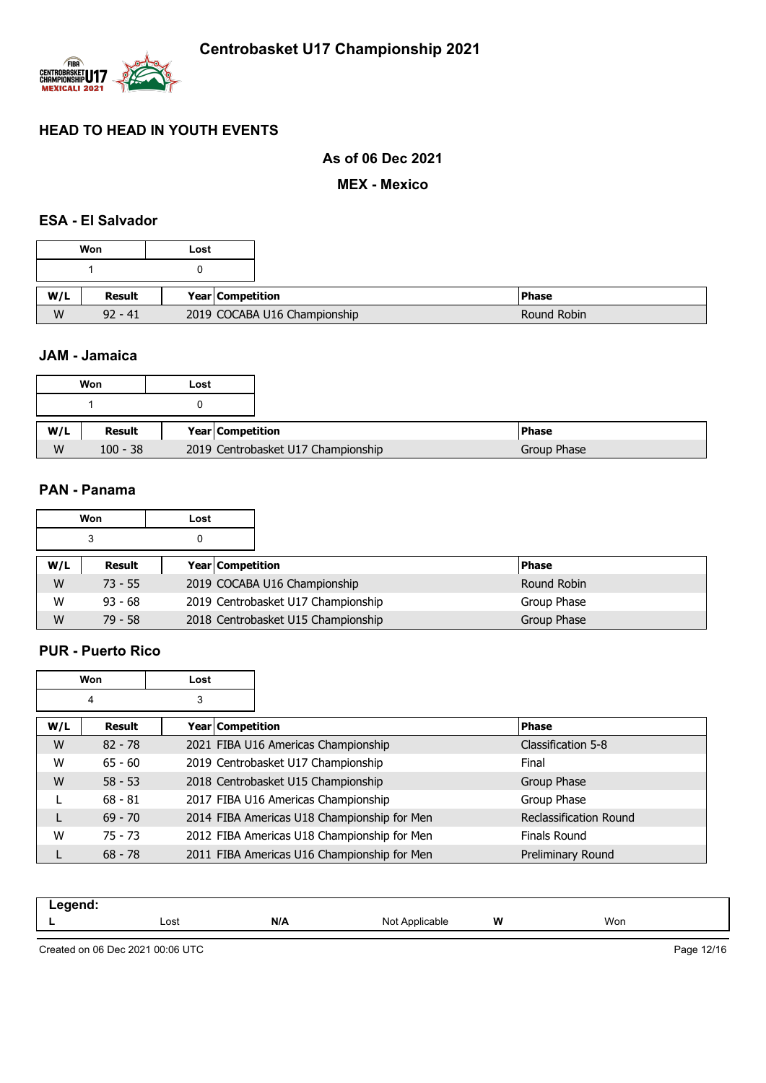

## **As of 06 Dec 2021**

**MEX - Mexico**

## **ESA - El Salvador**

| Won           | Lost |                              |
|---------------|------|------------------------------|
|               |      |                              |
| <b>Result</b> |      | <b>Year Competition</b>      |
| $92 - 41$     |      | 2019 COCABA U16 Championship |

### **JAM - Jamaica**

|     | Won        | Lost |                                    |
|-----|------------|------|------------------------------------|
|     |            |      |                                    |
|     |            |      |                                    |
| W/L | Result     |      | Year   Competition                 |
| W   | $100 - 38$ |      | 2019 Centrobasket U17 Championship |

## **PAN - Panama**

|     | Won       | Lost |                                    |              |
|-----|-----------|------|------------------------------------|--------------|
|     | 3         |      |                                    |              |
| W/L | Result    |      | <b>Year Competition</b>            | <b>Phase</b> |
| W   | $73 - 55$ |      | 2019 COCABA U16 Championship       | Round Robin  |
| W   | $93 - 68$ |      | 2019 Centrobasket U17 Championship | Group Phase  |
| W   | $79 - 58$ |      | 2018 Centrobasket U15 Championship | Group Phase  |

#### **PUR - Puerto Rico**

|     | Won       | Lost |                                             |                               |
|-----|-----------|------|---------------------------------------------|-------------------------------|
|     | 4         | 3    |                                             |                               |
| W/L | Result    |      | Year Competition                            | <b>Phase</b>                  |
| W   | $82 - 78$ |      | 2021 FIBA U16 Americas Championship         | Classification 5-8            |
| W   | $65 - 60$ |      | 2019 Centrobasket U17 Championship          | Final                         |
| W   | $58 - 53$ |      | 2018 Centrobasket U15 Championship          | Group Phase                   |
|     | $68 - 81$ |      | 2017 FIBA U16 Americas Championship         | Group Phase                   |
| L   | $69 - 70$ |      | 2014 FIBA Americas U18 Championship for Men | <b>Reclassification Round</b> |
| W   | $75 - 73$ |      | 2012 FIBA Americas U18 Championship for Men | Finals Round                  |
|     | $68 - 78$ |      | 2011 FIBA Americas U16 Championship for Men | Preliminary Round             |

| $\blacksquare$ . $\blacksquare$ . $\blacksquare$<br>-- 3<br>$\sim$ $\sim$ $\sim$ $\sim$ $\sim$ $\sim$ |      |     |                                                  |   |     |
|-------------------------------------------------------------------------------------------------------|------|-----|--------------------------------------------------|---|-----|
|                                                                                                       | Lost | N/A | N <sub>10</sub><br>Annlicable<br>apie<br>1 V V I | W | Won |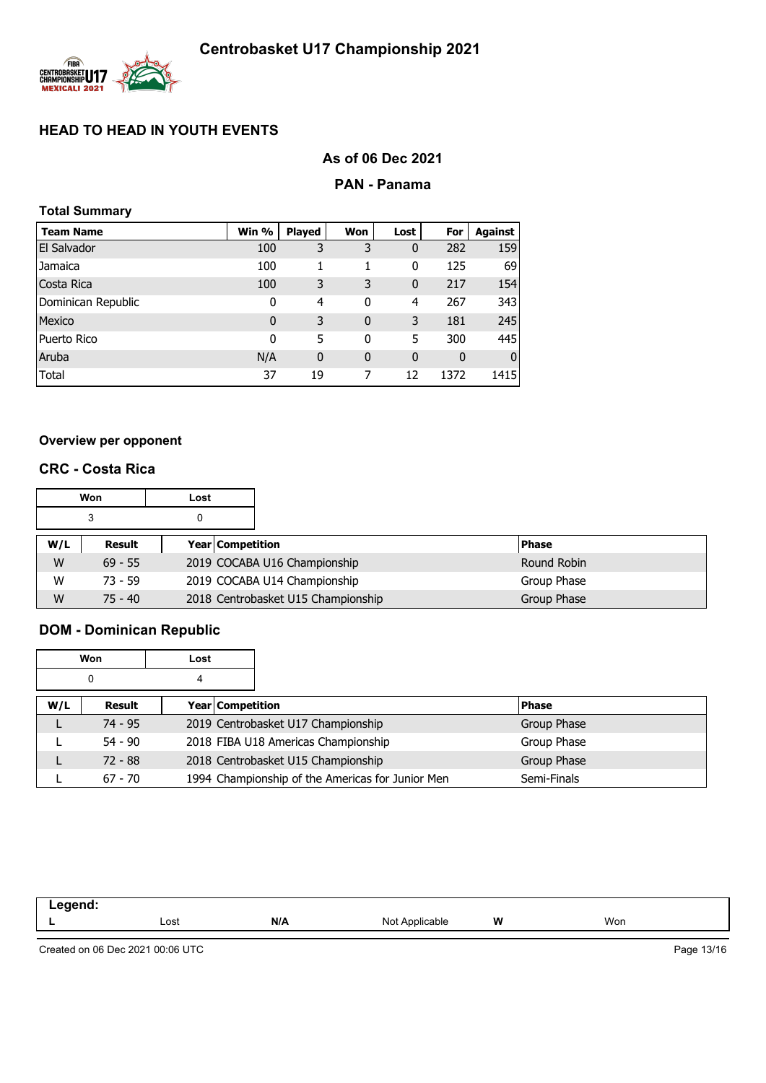

# **As of 06 Dec 2021**

### **PAN - Panama**

| <b>Total Summary</b> |             |             |             |              |              |              |
|----------------------|-------------|-------------|-------------|--------------|--------------|--------------|
| <b>Team Name</b>     | Win %       | Played      | Won         | Lost         | For          | Against      |
| El Salvador          | 100         | 3           | 3           | 0            | 282          | 159          |
| Jamaica              | 100         | 1           | 1           | 0            | 125          | 69           |
| Costa Rica           | 100         | 3           | 3           | $\mathbf{0}$ | 217          | 154          |
| Dominican Republic   | 0           | 4           | 0           | 4            | 267          | 343          |
| Mexico               | $\mathbf 0$ | 3           | $\mathbf 0$ | 3            | 181          | 245          |
| Puerto Rico          | 0           | 5           | 0           | 5            | 300          | 445          |
| Aruba                | N/A         | $\mathbf 0$ | $\mathbf 0$ | $\mathbf{0}$ | $\mathbf{0}$ | $\mathbf{0}$ |
| Total                | 37          | 19          | 7           | 12           | 1372         | 1415         |

### **Overview per opponent**

## **CRC - Costa Rica**

|     | Won       | Lost |                                    |              |
|-----|-----------|------|------------------------------------|--------------|
|     | 3         |      |                                    |              |
| W/L | Result    |      | <b>Year Competition</b>            | <b>Phase</b> |
| W   | $69 - 55$ |      | 2019 COCABA U16 Championship       | Round Robin  |
| W   | $73 - 59$ |      | 2019 COCABA U14 Championship       | Group Phase  |
| W   | $75 - 40$ |      | 2018 Centrobasket U15 Championship | Group Phase  |

# **DOM - Dominican Republic**

|     | Won       | Lost                    |                                                  |              |
|-----|-----------|-------------------------|--------------------------------------------------|--------------|
|     | 0         | 4                       |                                                  |              |
| W/L | Result    | <b>Year Competition</b> |                                                  | <b>Phase</b> |
|     | $74 - 95$ |                         | 2019 Centrobasket U17 Championship               | Group Phase  |
|     | $54 - 90$ |                         | 2018 FIBA U18 Americas Championship              | Group Phase  |
|     | $72 - 88$ |                         | 2018 Centrobasket U15 Championship               | Group Phase  |
|     | $67 - 70$ |                         | 1994 Championship of the Americas for Junior Men | Semi-Finals  |

| ------<br>-- - |      |     |                         |   |     |  |
|----------------|------|-----|-------------------------|---|-----|--|
|                | Lost | N/A | NΙω<br>מוחב<br>$\cdots$ | W | Won |  |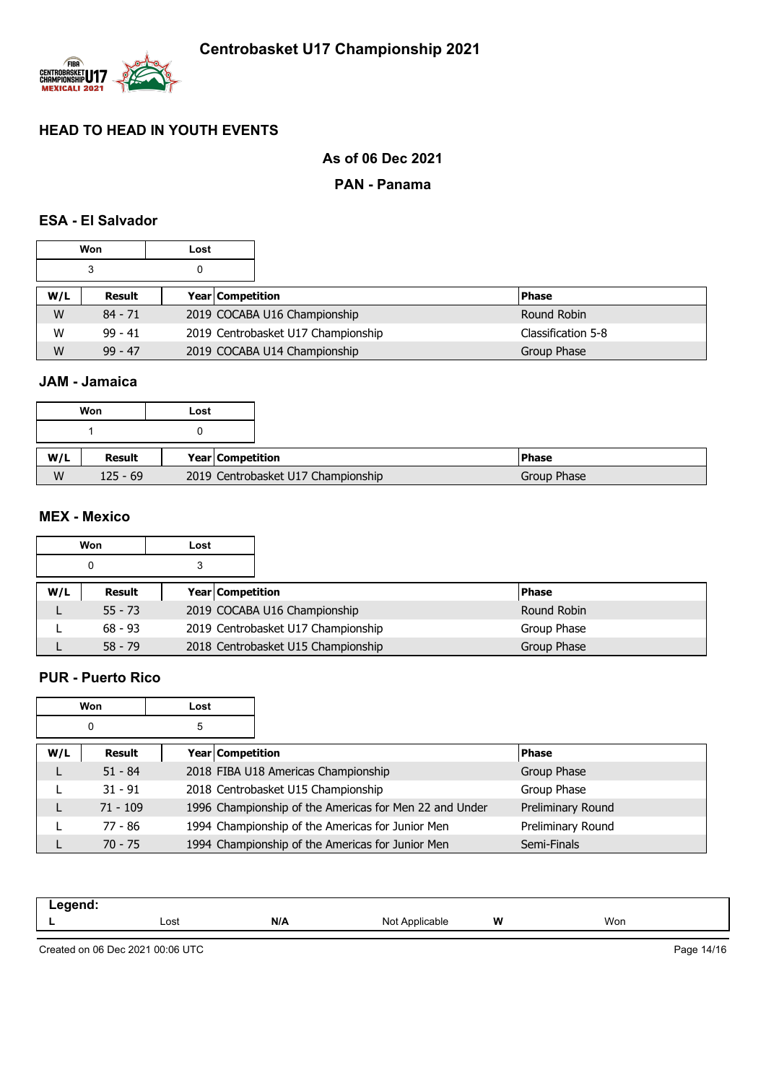

## **As of 06 Dec 2021**

### **PAN - Panama**

## **ESA - El Salvador**

|     | Won       | Lost |                  |                                    |                    |
|-----|-----------|------|------------------|------------------------------------|--------------------|
|     | 3         | 0    |                  |                                    |                    |
| W/L | Result    |      | Year Competition |                                    | <b>Phase</b>       |
| W   | $84 - 71$ |      |                  | 2019 COCABA U16 Championship       | Round Robin        |
| W   | $99 - 41$ |      |                  | 2019 Centrobasket U17 Championship | Classification 5-8 |
| W   | $99 - 47$ |      |                  | 2019 COCABA U14 Championship       | Group Phase        |

## **JAM - Jamaica**

|     | Won        | Lost |                    |                                    |  |
|-----|------------|------|--------------------|------------------------------------|--|
|     |            |      |                    |                                    |  |
| W/L | Result     |      | Year   Competition |                                    |  |
| W   | $125 - 69$ |      |                    | 2019 Centrobasket U17 Championship |  |

### **MEX - Mexico**

| Won<br>Lost |           |  |                  |                                    |              |
|-------------|-----------|--|------------------|------------------------------------|--------------|
| 0<br>З      |           |  |                  |                                    |              |
| W/L         | Result    |  | Year Competition |                                    | <b>Phase</b> |
|             | $55 - 73$ |  |                  | 2019 COCABA U16 Championship       | Round Robin  |
|             | $68 - 93$ |  |                  | 2019 Centrobasket U17 Championship | Group Phase  |
|             | $58 - 79$ |  |                  | 2018 Centrobasket U15 Championship | Group Phase  |

## **PUR - Puerto Rico**

| Won    |            | Lost |                  |                                                        |                   |
|--------|------------|------|------------------|--------------------------------------------------------|-------------------|
| 5<br>0 |            |      |                  |                                                        |                   |
| W/L    | Result     |      | Year Competition |                                                        | <b>Phase</b>      |
|        | $51 - 84$  |      |                  | 2018 FIBA U18 Americas Championship                    | Group Phase       |
|        | $31 - 91$  |      |                  | 2018 Centrobasket U15 Championship                     | Group Phase       |
|        | $71 - 109$ |      |                  | 1996 Championship of the Americas for Men 22 and Under | Preliminary Round |
|        | 77 - 86    |      |                  | 1994 Championship of the Americas for Junior Men       | Preliminary Round |
|        | $70 - 75$  |      |                  | 1994 Championship of the Americas for Junior Men       | Semi-Finals       |

| Legend: |              |     |                                             |   |     |  |
|---------|--------------|-----|---------------------------------------------|---|-----|--|
| -       | Lost<br>---- | N/A | N <sub>Io</sub> t<br>`Applicable<br>1 Y V L | W | Won |  |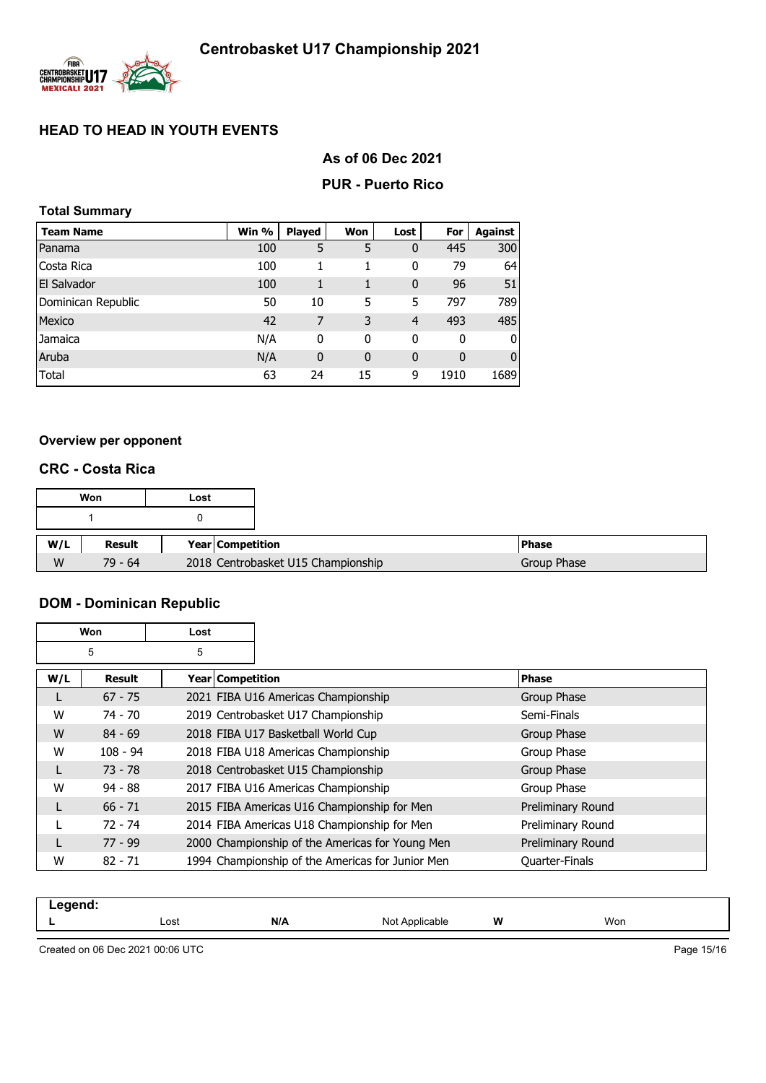

## **As of 06 Dec 2021**

### **PUR - Puerto Rico**

| <b>Total Summary</b> |       |               |              |              |      |                |  |  |  |
|----------------------|-------|---------------|--------------|--------------|------|----------------|--|--|--|
| <b>Team Name</b>     | Win % | <b>Played</b> | Won          | Lost         | For  | <b>Against</b> |  |  |  |
| Panama               | 100   | 5             | 5            | 0            | 445  | 300            |  |  |  |
| Costa Rica           | 100   | 1             | 1            | 0            | 79   | 64             |  |  |  |
| El Salvador          | 100   | 1             | $\mathbf{1}$ | 0            | 96   | 51             |  |  |  |
| Dominican Republic   | 50    | 10            | 5            | 5            | 797  | 789            |  |  |  |
| Mexico               | 42    | 7             | 3            | 4            | 493  | 485            |  |  |  |
| Jamaica              | N/A   | 0             | 0            | 0            | 0    | O              |  |  |  |
| Aruba                | N/A   | 0             | $\mathbf{0}$ | $\mathbf{0}$ | 0    | 0              |  |  |  |
| Total                | 63    | 24            | 15           | 9            | 1910 | 1689           |  |  |  |

### **Overview per opponent**

### **CRC - Costa Rica**

| Won |           | Lost |                                    |                    |
|-----|-----------|------|------------------------------------|--------------------|
|     |           |      |                                    |                    |
| W/L | Result    |      | Year Competition                   | <b>Phase</b>       |
| W   | $79 - 64$ |      | 2018 Centrobasket U15 Championship | <b>Group Phase</b> |

# **DOM - Dominican Republic**

| Won |            | Lost               |                                                  |                   |
|-----|------------|--------------------|--------------------------------------------------|-------------------|
|     | 5          | 5                  |                                                  |                   |
| W/L | Result     | Year   Competition |                                                  | <b>Phase</b>      |
| L   | $67 - 75$  |                    | 2021 FIBA U16 Americas Championship              | Group Phase       |
| W   | 74 - 70    |                    | 2019 Centrobasket U17 Championship               | Semi-Finals       |
| W   | $84 - 69$  |                    | 2018 FIBA U17 Basketball World Cup               | Group Phase       |
| W   | $108 - 94$ |                    | 2018 FIBA U18 Americas Championship              | Group Phase       |
| L   | $73 - 78$  |                    | 2018 Centrobasket U15 Championship               | Group Phase       |
| W   | $94 - 88$  |                    | 2017 FIBA U16 Americas Championship              | Group Phase       |
| L   | $66 - 71$  |                    | 2015 FIBA Americas U16 Championship for Men      | Preliminary Round |
|     | 72 - 74    |                    | 2014 FIBA Americas U18 Championship for Men      | Preliminary Round |
| L   | $77 - 99$  |                    | 2000 Championship of the Americas for Young Men  | Preliminary Round |
| W   | $82 - 71$  |                    | 1994 Championship of the Americas for Junior Men | Quarter-Finals    |

| ----- |      |     |                             |   |     |  |
|-------|------|-----|-----------------------------|---|-----|--|
| . .   | Lost | N/A | N <sub>Io</sub><br>avıc<br> | W | Won |  |